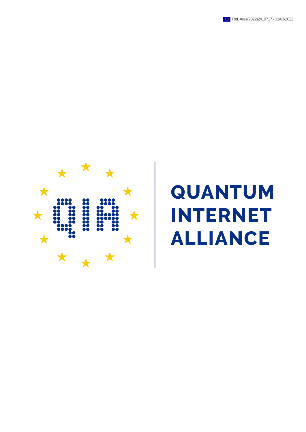



# **QUANTUM INTERNET ALLIANCE**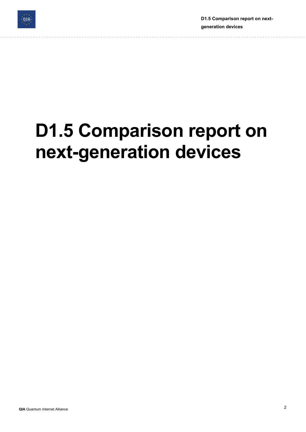

**D1.5 Comparison report on nextgeneration devices**

## **D1.5 Comparison report on next-generation devices**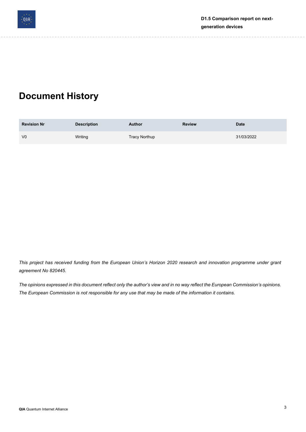

## **Document History**

| <b>Revision Nr</b> | <b>Description</b> | <b>Author</b> | <b>Review</b> | <b>Date</b> |
|--------------------|--------------------|---------------|---------------|-------------|
| V <sub>0</sub>     | Writing            | Tracy Northup |               | 31/03/2022  |

This project has received funding from the European Union's Horizon 2020 research and innovation programme under grant *agreement No 820445.*

The opinions expressed in this document reflect only the author's view and in no way reflect the European Commission's opinions. The European Commission is not responsible for any use that may be made of the information it contains.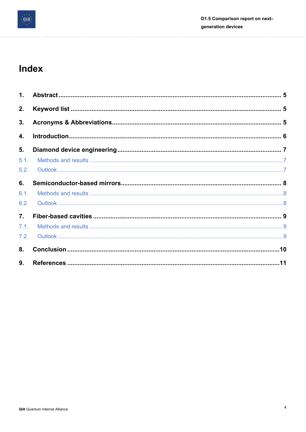

-----------------------

L

 $- - -$ 

### Index

| 1 <sub>1</sub> |  |
|----------------|--|
| 2.             |  |
| 3.             |  |
| 4.             |  |
| 5.             |  |
| 5.1.           |  |
| 5.2.           |  |
| 6.             |  |
| 6.1.           |  |
| 6.2.           |  |
| 7.             |  |
| 7.1.           |  |
| 7.2.           |  |
| 8.             |  |
| 9.             |  |

---------------------------------

 $\sim$   $\sim$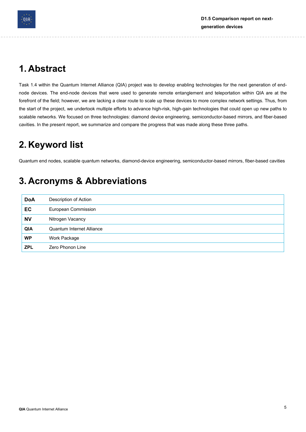

## <span id="page-4-0"></span>**1. Abstract**

Task 1.4 within the Quantum Internet Alliance (QIA) project was to develop enabling technologies for the next generation of endnode devices. The end-node devices that were used to generate remote entanglement and teleportation within QIA are at the forefront of the field; however, we are lacking a clear route to scale up these devices to more complex network settings. Thus, from the start of the project, we undertook multiple efforts to advance high-risk, high-gain technologies that could open up new paths to scalable networks. We focused on three technologies: diamond device engineering, semiconductor-based mirrors, and fiber-based cavities. In the present report, we summarize and compare the progress that was made along these three paths.

## <span id="page-4-1"></span>**2. Keyword list**

Quantum end nodes, scalable quantum networks, diamond-device engineering, semiconductor-based mirrors, fiber-based cavities

## <span id="page-4-2"></span>**3. Acronyms & Abbreviations**

| <b>DoA</b> | Description of Action            |
|------------|----------------------------------|
| EC         | European Commission              |
| <b>NV</b>  | Nitrogen Vacancy                 |
| QIA        | <b>Quantum Internet Alliance</b> |
| <b>WP</b>  | Work Package                     |
| <b>ZPL</b> | Zero Phonon Line                 |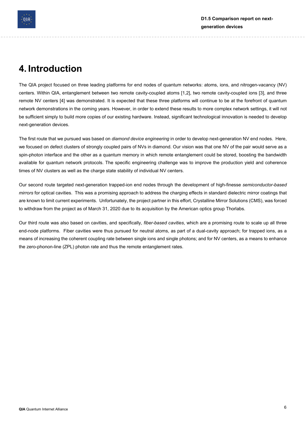

## <span id="page-5-0"></span>**4. Introduction**

The QIA project focused on three leading platforms for end nodes of quantum networks: atoms, ions, and nitrogen-vacancy (NV) centers. Within QIA, entanglement between two remote cavity-coupled atoms [1,2], two remote cavity-coupled ions [3], and three remote NV centers [4] was demonstrated. It is expected that these three platforms will continue to be at the forefront of quantum network demonstrations in the coming years. However, in order to extend these results to more complex network settings, it will not be sufficient simply to build more copies of our existing hardware. Instead, significant technological innovation is needed to develop next-generation devices.

The first route that we pursued was based on *diamond device engineering* in order to develop next-generation NV end nodes. Here, we focused on defect clusters of strongly coupled pairs of NVs in diamond. Our vision was that one NV of the pair would serve as a spin-photon interface and the other as a quantum memory in which remote entanglement could be stored, boosting the bandwidth available for quantum network protocols. The specific engineering challenge was to improve the production yield and coherence times of NV clusters as well as the charge state stability of individual NV centers.

Our second route targeted next-generation trapped-ion end nodes through the development of high-finesse *semiconductor-based mirrors* for optical cavities. This was a promising approach to address the charging effects in standard dielectric mirror coatings that are known to limit current experiments. Unfortunately, the project partner in this effort, Crystalline Mirror Solutions (CMS), was forced to withdraw from the project as of March 31, 2020 due to its acquisition by the American optics group Thorlabs.

Our third route was also based on cavities, and specifically, *fiber-based cavities*, which are a promising route to scale up all three end-node platforms. Fiber cavities were thus pursued for neutral atoms, as part of a dual-cavity approach; for trapped ions, as a means of increasing the coherent coupling rate between single ions and single photons; and for NV centers, as a means to enhance the zero-phonon-line (ZPL) photon rate and thus the remote entanglement rates.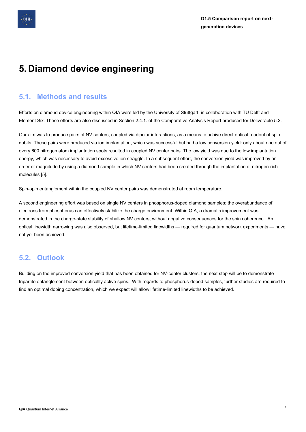

## <span id="page-6-0"></span>**5. Diamond device engineering**

#### <span id="page-6-1"></span>**5.1. Methods and results**

Efforts on diamond device engineering within QIA were led by the University of Stuttgart, in collaboration with TU Delft and Element Six. These efforts are also discussed in Section 2.4.1. of the Comparative Analysis Report produced for Deliverable 5.2.

Our aim was to produce pairs of NV centers, coupled via dipolar interactions, as a means to achive direct optical readout of spin qubits. These pairs were produced via ion implantation, which was successful but had a low conversion yield: only about one out of every 600 nitrogen atom implantation spots resulted in coupled NV center pairs. The low yield was due to the low implantation energy, which was necessary to avoid excessive ion straggle. In a subsequent effort, the conversion yield was improved by an order of magnitude by using a diamond sample in which NV centers had been created through the implantation of nitrogen-rich molecules [5].

Spin-spin entanglement within the coupled NV center pairs was demonstrated at room temperature.

A second engineering effort was based on single NV centers in phosphorus-doped diamond samples; the overabundance of electrons from phosphorus can effectively stabilize the charge environment. Within QIA, a dramatic improvement was demonstrated in the charge-state stability of shallow NV centers, without negative consequences for the spin coherence. An optical linewidth narrowing was also observed, but lifetime-limited linewidths — required for quantum network experiments — have not yet been achieved.

#### <span id="page-6-2"></span>**5.2. Outlook**

Building on the improved conversion yield that has been obtained for NV-center clusters, the next step will be to demonstrate tripartite entanglement between opticallly active spins. With regards to phosphorus-doped samples, further studies are required to find an optimal doping concentration, which we expect will allow lifetime-limited linewidths to be achieved.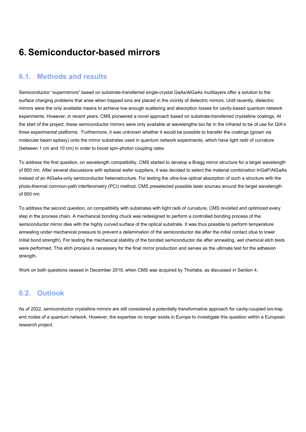## <span id="page-7-0"></span>**6.Semiconductor-based mirrors**

#### <span id="page-7-1"></span>**6.1. Methods and results**

Semiconductor "supermirrors" based on substrate-transferred single-crystal GaAs/AlGaAs multilayers offer a solution to the surface charging problems that arise when trapped ions are placed in the vicinity of dielectric mirrors. Until recently, dielectric mirrors were the only available means to achieve low enough scattering and absorption losses for cavity-based quantum network experiments. However, in recent years, CMS pioneered a novel approach based on substrate-transferred crystalline coatings. At the start of the project, these semiconductor mirrors were only available at wavelengths too far in the infrared to be of use for QIA's three experimental platforms. Furthermore, it was unknown whether it would be possible to transfer the coatings (grown via molecular beam epitaxy) onto the mirror substrates used in quantum network experiments, which have tight radii of curvature (between 1 cm and 10 cm) in order to boost spin-photon coupling rates.

To address the first question, on wavelength compatibility, CMS started to develop a Bragg mirror structure for a target wavelength of 850 nm. After several discussions with epitaxial wafer suppliers, it was decided to select the material combination InGaP/AlGaAs instead of an AlGaAs-only semiconductor heterostructure. For testing the ultra-low optical absorption of such a structure with the photo-thermal common-path interferometry (PCI) method, CMS preselected possible laser sources around the target wavelength of 850 nm.

To address the second question, on compatibility with substrates with tight radii of curvature, CMS revisited and optimized every step in the process chain. A mechanical bonding chuck was redesigned to perform a controlled bonding process of the semiconductor mirror dies with the highly curved surface of the optical substrate. It was thus possible to perform temperature annealing under mechanical pressure to prevent a delamination of the semiconductor die after the initial contact (due to lower initial bond strength). For testing the mechanical stability of the bonded semiconductor die after annealing, wet chemical etch tests were performed. This etch process is necessary for the final mirror production and serves as the ultimate test for the adhesion strength.

Work on both questions ceased in December 2019, when CMS was acquired by Thorlabs, as discussed in Section 4.

#### <span id="page-7-2"></span>**6.2. Outlook**

As of 2022, semiconductor crystalline mirrors are still considered a potentially transformative approach for cavity-coupled ion-trap end nodes of a quantum network. However, the expertise no longer exists in Europe to investigate this question within a European research project.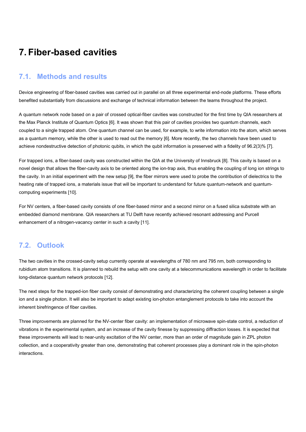## <span id="page-8-0"></span>**7. Fiber-based cavities**

#### <span id="page-8-1"></span>**7.1. Methods and results**

Device engineering of fiber-based cavities was carried out in parallel on all three experimental end-node platforms. These efforts benefited substantially from discussions and exchange of technical information between the teams throughout the project.

A quantum network node based on a pair of crossed optical-fiber cavities was constructed for the first time by QIA researchers at the Max Planck Institute of Quantum Optics [6]. It was shown that this pair of cavities provides two quantum channels, each coupled to a single trapped atom. One quantum channel can be used, for example, to write information into the atom, which serves as a quantum memory, while the other is used to read out the memory [6]. More recently, the two channels have been used to achieve nondestructive detection of photonic qubits, in which the qubit information is preserved with a fidelity of 96.2(3)% [7].

For trapped ions, a fiber-based cavity was constructed within the QIA at the University of Innsbruck [8]. This cavity is based on a novel design that allows the fiber-cavity axis to be oriented along the ion-trap axis, thus enabling the coupling of long ion strings to the cavity. In an initial experiment with the new setup [9], the fiber mirrors were used to probe the contribution of dielectrics to the heating rate of trapped ions, a materials issue that will be important to understand for future quantum-network and quantumcomputing experiments [10].

For NV centers, a fiber-based cavity consists of one fiber-based mirror and a second mirror on a fused silica substrate with an embedded diamond membrane. QIA researchers at TU Delft have recently achieved resonant addressing and Purcell enhancement of a nitrogen-vacancy center in such a cavity [11].

#### <span id="page-8-2"></span>**7.2. Outlook**

The two cavities in the crossed-cavity setup currently operate at wavelengths of 780 nm and 795 nm, both corresponding to rubidium atom transitions. It is planned to rebuild the setup with one cavity at a telecommunications wavelength in order to facilitate long-distance quantum network protocols [12].

The next steps for the trapped-ion fiber cavity consist of demonstrating and characterizing the coherent coupling between a single ion and a single photon. It will also be important to adapt existing ion-photon entanglement protocols to take into account the inherent birefringence of fiber cavities.

Three improvements are planned for the NV-center fiber cavity: an implementation of microwave spin-state control, a reduction of vibrations in the experimental system, and an increase of the cavity finesse by suppressing diffraction losses. It is expected that these improvements will lead to near-unity excitation of the NV center, more than an order of magnitude gain in ZPL photon collection, and a cooperativity greater than one, demonstrating that coherent processes play a dominant role in the spin-photon interactions.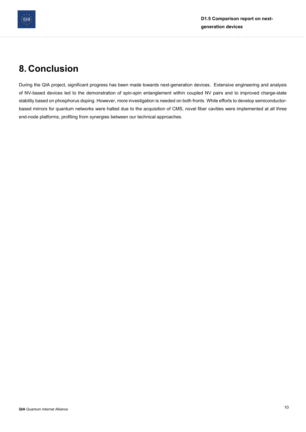

## <span id="page-9-0"></span>**8. Conclusion**

During the QIA project, significant progress has been made towards next-generation devices. Extensive engineering and analysis of NV-based devices led to the demonstration of spin-spin entanglement within coupled NV pairs and to improved charge-state stability based on phosphorus doping. However, more investigation is needed on both fronts. While efforts to develop semiconductorbased mirrors for quantum networks were halted due to the acquisition of CMS, novel fiber cavities were implemented at all three end-node platforms, profiting from synergies between our technical approaches.